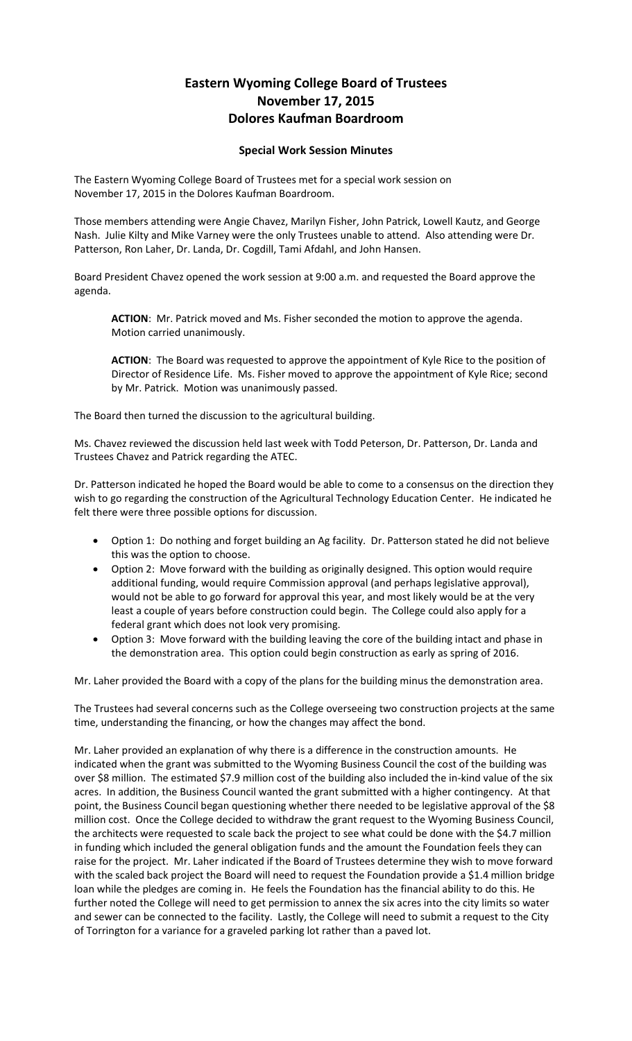## **Eastern Wyoming College Board of Trustees November 17, 2015 Dolores Kaufman Boardroom**

## **Special Work Session Minutes**

The Eastern Wyoming College Board of Trustees met for a special work session on November 17, 2015 in the Dolores Kaufman Boardroom.

Those members attending were Angie Chavez, Marilyn Fisher, John Patrick, Lowell Kautz, and George Nash. Julie Kilty and Mike Varney were the only Trustees unable to attend. Also attending were Dr. Patterson, Ron Laher, Dr. Landa, Dr. Cogdill, Tami Afdahl, and John Hansen.

Board President Chavez opened the work session at 9:00 a.m. and requested the Board approve the agenda.

**ACTION**: Mr. Patrick moved and Ms. Fisher seconded the motion to approve the agenda. Motion carried unanimously.

**ACTION**: The Board was requested to approve the appointment of Kyle Rice to the position of Director of Residence Life. Ms. Fisher moved to approve the appointment of Kyle Rice; second by Mr. Patrick. Motion was unanimously passed.

The Board then turned the discussion to the agricultural building.

Ms. Chavez reviewed the discussion held last week with Todd Peterson, Dr. Patterson, Dr. Landa and Trustees Chavez and Patrick regarding the ATEC.

Dr. Patterson indicated he hoped the Board would be able to come to a consensus on the direction they wish to go regarding the construction of the Agricultural Technology Education Center. He indicated he felt there were three possible options for discussion.

- Option 1: Do nothing and forget building an Ag facility. Dr. Patterson stated he did not believe this was the option to choose.
- Option 2: Move forward with the building as originally designed. This option would require additional funding, would require Commission approval (and perhaps legislative approval), would not be able to go forward for approval this year, and most likely would be at the very least a couple of years before construction could begin. The College could also apply for a federal grant which does not look very promising.
- Option 3: Move forward with the building leaving the core of the building intact and phase in the demonstration area. This option could begin construction as early as spring of 2016.

Mr. Laher provided the Board with a copy of the plans for the building minus the demonstration area.

The Trustees had several concerns such as the College overseeing two construction projects at the same time, understanding the financing, or how the changes may affect the bond.

Mr. Laher provided an explanation of why there is a difference in the construction amounts. He indicated when the grant was submitted to the Wyoming Business Council the cost of the building was over \$8 million. The estimated \$7.9 million cost of the building also included the in-kind value of the six acres. In addition, the Business Council wanted the grant submitted with a higher contingency. At that point, the Business Council began questioning whether there needed to be legislative approval of the \$8 million cost. Once the College decided to withdraw the grant request to the Wyoming Business Council, the architects were requested to scale back the project to see what could be done with the \$4.7 million in funding which included the general obligation funds and the amount the Foundation feels they can raise for the project. Mr. Laher indicated if the Board of Trustees determine they wish to move forward with the scaled back project the Board will need to request the Foundation provide a \$1.4 million bridge loan while the pledges are coming in. He feels the Foundation has the financial ability to do this. He further noted the College will need to get permission to annex the six acres into the city limits so water and sewer can be connected to the facility. Lastly, the College will need to submit a request to the City of Torrington for a variance for a graveled parking lot rather than a paved lot.